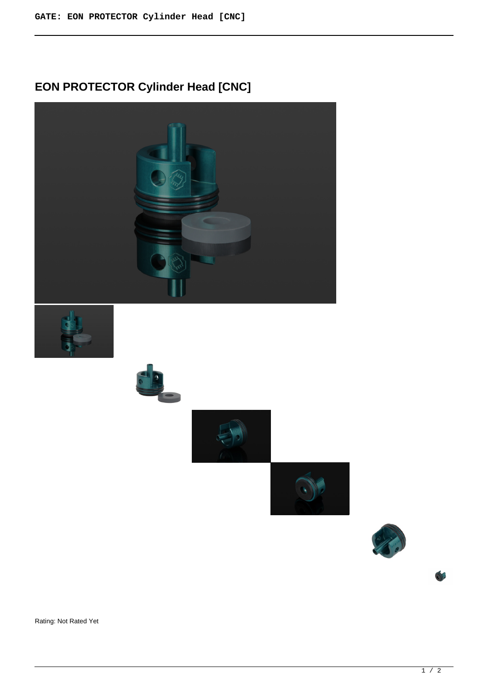# **EON PROTECTOR Cylinder Head [CNC]**











Rating: Not Rated Yet